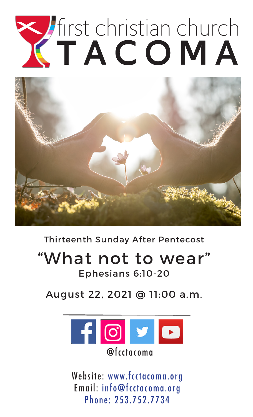# Tirst christian church



Thirteenth Sunday After Pentecost

# "What not to wear"

Ephesians 6:10-20

August 22, 2021 @ 11:00 a.m.



Website: www.fcctacoma.org Email: info@fcctacoma.org Phone: 253.752.7734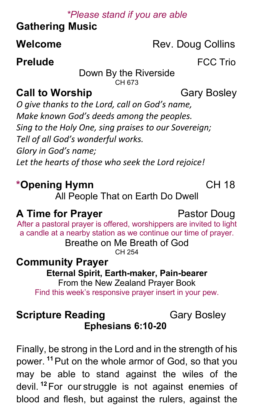### *\*Please stand if you are able*

# **Gathering Music**

# **Welcome** Rev. Doug Collins

### **Prelude FCC Trio**

Down By the Riverside CH 673

### **Call to Worship Cary Bosley**

*O give thanks to the Lord, call on God's name, Make known God's deeds among the peoples. Sing to the Holy One, sing praises to our Sovereign; Tell of all God's wonderful works. Glory in God's name; Let the hearts of those who seek the Lord rejoice!*

# **\*Opening Hymn** CH 18

All People That on Earth Do Dwell

# **A Time for Prayer Pastor Doug**

After a pastoral prayer is offered, worshippers are invited to light a candle at a nearby station as we continue our time of prayer.

Breathe on Me Breath of God CH 254

**Community Prayer Eternal Spirit, Earth-maker, Pain-bearer** From the New Zealand Prayer Book

Find this week's responsive prayer insert in your pew.

### **Scripture Reading Cary Bosley Ephesians 6:10-20**

Finally, be strong in the Lord and in the strength of his power. **<sup>11</sup>**Put on the whole armor of God, so that you may be able to stand against the wiles of the devil. **<sup>12</sup>**For our struggle is not against enemies of blood and flesh, but against the rulers, against the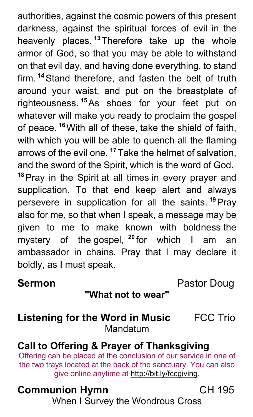authorities, against the cosmic powers of this present darkness, against the spiritual forces of evil in the heavenly places. **<sup>13</sup>**Therefore take up the whole armor of God, so that you may be able to withstand on that evil day, and having done everything, to stand firm. **<sup>14</sup>**Stand therefore, and fasten the belt of truth around your waist, and put on the breastplate of righteousness. **<sup>15</sup>**As shoes for your feet put on whatever will make you ready to proclaim the gospel of peace. **<sup>16</sup>**With all of these, take the shield of faith, with which you will be able to quench all the flaming arrows of the evil one. **<sup>17</sup>**Take the helmet of salvation, and the sword of the Spirit, which is the word of God. **<sup>18</sup>**Pray in the Spirit at all times in every prayer and supplication. To that end keep alert and always persevere in supplication for all the saints. **<sup>19</sup>**Pray also for me, so that when I speak, a message may be given to me to make known with boldness the mystery of the gospel, **<sup>20</sup>**for which I am an ambassador in chains. Pray that I may declare it

**Sermon Pastor Doug** 

### **"What not to wear"**

### **Listening for the Word in Music** FCC Trio Mandatum

## **Call to Offering & Prayer of Thanksgiving**

Offering can be placed at the conclusion of our service in one of the two trays located at the back of the sanctuary. You can also give online anytime at http://bit.ly/fccgiving.

### **Communion Hymn** CH 195

boldly, as I must speak.

When I Survey the Wondrous Cross